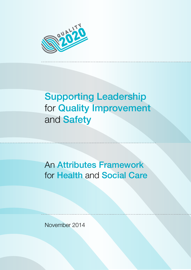

# Supporting Leadership for Quality Improvement and **Safety**

An Attributes Framework for Health and Social Care

November 2014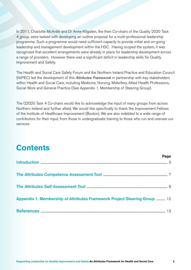In 2011, Charlotte McArdle and Dr Anne Kilgallen, the then Co-chairs of the Quality 2020 Task 4 group, were tasked with developing an outline proposal for a multi-professional leadership programme. Such a programme would need sufficient capacity to provide initial and on-going leadership and management development within the HSC. Having scoped the system, it was recognised that excellent arrangements were already in place for leadership development across a range of providers. However there was a significant deficit in leadership skills for Quality Improvement and Safety.

The Health and Social Care Safety Forum and the Northern Ireland Practice and Education Council (NIPEC) led the development of this *Attributes Framework* in partnership with key stakeholders within Health and Social Care, including Medicine, Nursing, Midwifery, Allied Health Professions, Social Work and General Practice (See Appendix 1, Membership of Steering Group).

The Q2020 Task 4 Co-chairs would like to acknowledge the input of many groups from across Northern Ireland and further afield. We would like specifically to thank the Improvement Fellows of the Institute of Healthcare Improvement (Boston). We are also indebted to a wide range of contributors for their input, from those in undergraduate training to those who run and oversee our services.

## **Contents**

|                                                                           | raye |
|---------------------------------------------------------------------------|------|
|                                                                           |      |
|                                                                           |      |
|                                                                           |      |
| Appendix 1. Membership of Attributes Framework Project Steering Group  12 |      |
|                                                                           |      |

Page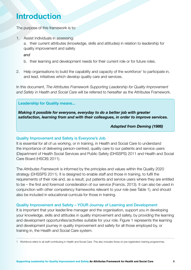## **Introduction**

The purpose of this framework is to:

1. Assist individuals in assessing:

a. their current attributes (knowledge, skills and attitudes) in relation to leadership for quality improvement and safety

*and* 

- b. their learning and development needs for their current role or for future roles.
- 2. Help organisations to build the capability and capacity of the workforce<sup>1</sup> to participate in, and lead, initiatives which develop quality care and services.

In this document, *The Attributes Framework Supporting Leadership for Quality Improvement and Safety in Health and Social Care* will be referred to hereafter as the Attributes Framework.

#### **Leadership for Quality means...**

*Making it possible for everyone, everyday to do a better job with greater satisfaction, learning from and with their colleagues, in order to improve services.* 

#### *Adapted from Deming (1986)*

#### Quality Improvement and Safety is Everyone's Job

It is essential for all of us working, or in training, in Health and Social Care to understand the importance of delivering person-centred, quality care to our patients and service users (Department of Health Social Services and Public Safety (DHSSPS) 2011 and Health and Social Care Board (HSCB) 2011).

The *Attributes Framework* is informed by the principles and values within the Quality 2020 strategy (DHSSPS 2011). It is designed to enable staff and those in training, to fulfil the requirements of their role and, as a result, put patients and service users where they are entitled to be – the first and foremost consideration of our service (Francis, 2013). It can also be used in conjunction with other competency frameworks relevant to your role (see Table 1), and should also be included in educational curricula for those in training.

#### Quality Improvement and Safety – YOUR Journey of Learning and Development

It is important that your leader/line manager and the organisation, support you in developing your knowledge, skills and attitudes in quality improvement and safety, by providing the learning and development opportunities/activities suitable for your role. Figure 1 represents the learning and development journey in quality improvement and safety for all those employed by, or training in, the Health and Social Care system.

1 Workforce refers to all staff contributing in Health and Social Care. This also includes those on pre-registration training programmes.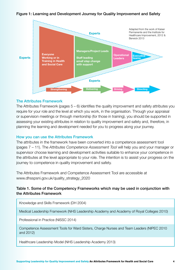#### Figure 1: Learning and Development Journey for Quality Improvement and Safety



#### The Attributes Framework

The Attributes Framework (pages 5 – 6) identifies the quality improvement and safety attributes you require for your role and the level at which you work, in the organisation. Through your appraisal or supervision meetings or through mentorship (for those in training), you should be supported in assessing your existing attributes in relation to quality improvement and safety and, therefore, in planning the learning and development needed for you to progress along your journey.

#### How you can use the Attributes Framework

The attributes in the framework have been converted into a competence assessment tool (pages 7 – 11). The *Attributes Competence Assessment Tool* will help you and your manager or supervisor choose learning and development activities suitable to enhance your competence in the attributes at the level appropriate to your role. The intention is to assist your progress on the journey to competence in quality improvement and safety.

The Attributes Framework and Competence Assessment Tool are accessible at www.dhsspsni.gov.uk/quality\_strategy\_2020

#### Table 1. Some of the Competency Frameworks which may be used in conjunction with the Attributes Framework

Knowledge and Skills Framework (DH 2004)

Medical Leadership Framework (NHS Leadership Academy and Academy of Royal Colleges 2010)

Professional in Practice (NISSC 2014)

Competence Assessment Tools for Ward Sisters, Charge Nurses and Team Leaders (NIPEC 2010 and 2012)

Healthcare Leadership Model (NHS Leadership Academy 2013)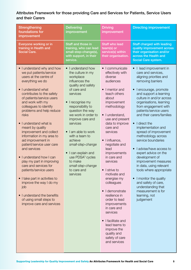### Attributes Framework for those providing Care and Services for Patients, Service Users and their Carers

| <b>Strengthening</b><br>foundations for<br>improvement                                                                                                                                                                                                                                                                                                                                                                                                                                                                                                                                                                                                                                                                                               | <b>Delivering</b><br>improvement                                                                                                                                                                                                                                                                                                                                                                                                              | <b>Driving</b><br>improvement                                                                                                                                                                                                                                                                                                                                                                                                                                                                                                                                                                                                                      | <b>Directing improvement</b>                                                                                                                                                                                                                                                                                                                                                                                                                                                                                                                                                                                                                                                                              |
|------------------------------------------------------------------------------------------------------------------------------------------------------------------------------------------------------------------------------------------------------------------------------------------------------------------------------------------------------------------------------------------------------------------------------------------------------------------------------------------------------------------------------------------------------------------------------------------------------------------------------------------------------------------------------------------------------------------------------------------------------|-----------------------------------------------------------------------------------------------------------------------------------------------------------------------------------------------------------------------------------------------------------------------------------------------------------------------------------------------------------------------------------------------------------------------------------------------|----------------------------------------------------------------------------------------------------------------------------------------------------------------------------------------------------------------------------------------------------------------------------------------------------------------------------------------------------------------------------------------------------------------------------------------------------------------------------------------------------------------------------------------------------------------------------------------------------------------------------------------------------|-----------------------------------------------------------------------------------------------------------------------------------------------------------------------------------------------------------------------------------------------------------------------------------------------------------------------------------------------------------------------------------------------------------------------------------------------------------------------------------------------------------------------------------------------------------------------------------------------------------------------------------------------------------------------------------------------------------|
| Everyone working or in<br>training in Health and<br><b>Social Care.</b>                                                                                                                                                                                                                                                                                                                                                                                                                                                                                                                                                                                                                                                                              | Staff and those in<br>training, who can lead<br>small-step-change(s),<br>with support, in their<br>service.                                                                                                                                                                                                                                                                                                                                   | <b>Staff who lead</b><br>team(s) or<br>service(s) within<br>their organisation.                                                                                                                                                                                                                                                                                                                                                                                                                                                                                                                                                                    | <b>Staff charged with leading</b><br>quality improvement across<br>their organisation and/or<br>across the Health and<br>Social Care system.                                                                                                                                                                                                                                                                                                                                                                                                                                                                                                                                                              |
| • I understand why and how<br>we put patients/service<br>users at the centre of<br>everything we do<br>I understand what<br>$\bullet$<br>contributes to the safety<br>of patients/service users<br>and work with my<br>colleagues to identify<br>problems and help reduce<br>risks<br>I understand what is<br>$\bullet$<br>meant by quality<br>improvement and collect<br>information in my area to<br>aid improvement in<br>patient/service user care<br>and services<br>I understand how I can<br>$\bullet$<br>play my part in improving<br>care and services for<br>patients/service users<br>I take part in activities to<br>improve the way I do my<br>job<br>I understand the benefits<br>of using small steps to<br>improve care and services | • I understand how<br>the culture in my<br>workplace<br>influences the<br>quality and safety<br>of care and<br>services<br>I recognise my<br>responsibility to<br>question the way<br>we work in order to<br>improve care and<br>services<br>I am able to work<br>$\bullet$<br>with a team to<br>achieve<br>small-step-change<br>I can explain and<br>use PDSA <sup>3</sup> cycles<br>to make<br>small-step-change<br>to care and<br>services | • I communicate<br>effectively with<br>diverse<br>audiences<br>I mentor and<br>$\bullet$<br>teach others<br>about<br>improvement<br>methodology<br>I understand,<br>$\bullet$<br>use and present<br>data to improve<br>care and<br>services<br>I influence,<br>$\bullet$<br>negotiate and<br>lead<br>improvements<br>in care and<br>services<br>I strive to<br>$\bullet$<br>motivate and<br>energise my<br>colleagues<br>I demonstrate<br>$\bullet$<br>resilience in<br>order to lead<br>improvements<br>in care and<br>services<br>I facilitate and<br>$\bullet$<br>lead teams to<br>improve the<br>quality and<br>safety of care<br>and services | • I lead improvement in<br>care and services,<br>aligning priorities and<br>removing barriers<br>I encourage, promote<br>$\bullet$<br>and support a learning<br>culture in and/or across<br>organisations, learning<br>from engagement with<br>patients/service users<br>and their carers/families<br>I direct the<br>$\bullet$<br>implementation and<br>spread of improvement<br>methodology across<br>service boundaries<br>I advise/have access to<br>expert advice on the<br>development of<br>improvement measures<br>in data, using relevant<br>tools where appropriate<br>• I monitor the quality<br>and safety of care,<br>understanding that<br>measurement is for<br>learning, not<br>judgement |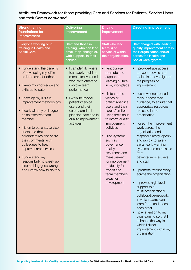### Attributes Framework for those providing Care and Services for Patients, Service Users and their Carers *continued*

| <b>Strengthening</b><br>foundations for<br>improvement                                                                                                                                                                                                                                                                                                                                                                                                                                                                           | <b>Delivering</b><br>improvement                                                                                                                                                                                                                                          | <b>Driving</b><br>improvement                                                                                                                                                                                                                                                                                                                                                                                                                                     | <b>Directing improvement</b>                                                                                                                                                                                                                                                                                                                                                                                                                                                                                                                                                                                                                                                                                                                                                                                                                                        |
|----------------------------------------------------------------------------------------------------------------------------------------------------------------------------------------------------------------------------------------------------------------------------------------------------------------------------------------------------------------------------------------------------------------------------------------------------------------------------------------------------------------------------------|---------------------------------------------------------------------------------------------------------------------------------------------------------------------------------------------------------------------------------------------------------------------------|-------------------------------------------------------------------------------------------------------------------------------------------------------------------------------------------------------------------------------------------------------------------------------------------------------------------------------------------------------------------------------------------------------------------------------------------------------------------|---------------------------------------------------------------------------------------------------------------------------------------------------------------------------------------------------------------------------------------------------------------------------------------------------------------------------------------------------------------------------------------------------------------------------------------------------------------------------------------------------------------------------------------------------------------------------------------------------------------------------------------------------------------------------------------------------------------------------------------------------------------------------------------------------------------------------------------------------------------------|
| <b>Everyone working or in</b><br>training in Health and<br><b>Social Care.</b>                                                                                                                                                                                                                                                                                                                                                                                                                                                   | Staff and those in<br>training, who can lead<br>small-step-change(s),<br>with support, in their<br>service.                                                                                                                                                               | <b>Staff who lead</b><br>team(s) or<br>service(s) within<br>their organisation.                                                                                                                                                                                                                                                                                                                                                                                   | <b>Staff charged with leading</b><br>quality improvement across<br>their organisation and/or<br>across the Health and<br>Social Care system.                                                                                                                                                                                                                                                                                                                                                                                                                                                                                                                                                                                                                                                                                                                        |
| • I understand the benefits<br>of developing myself in<br>order to care for others<br>• I keep my knowledge and<br>skills up to date<br>• I develop my skills in<br>improvement methodology<br>• I work with my colleagues<br>as an effective team<br>member<br>• I listen to patients/service<br>users and their<br>carers/families and share<br>their comments with<br>colleagues to help<br>improve care/services<br>• I understand my<br>responsibility to speak up<br>if something goes wrong<br>and I know how to do this. | • I can identify where<br>teamwork could be<br>more effective and I<br>work with others to<br>improve team<br>performance<br>I work to involve<br>patients/service<br>users and their<br>carers/families in<br>planning care and in<br>quality improvement<br>activities. | I encourage,<br>$\bullet$<br>promote and<br>support a<br>learning culture<br>in my workplace<br>I listen to the<br>$\bullet$<br>voices of<br>patients/service<br>users and their<br>carers/families,<br>using their input<br>to inform quality<br>improvement<br>activities<br>I use systems<br>such as<br>governance,<br>quality<br>assurance and<br>measurement<br>for improvement<br>to identify for<br>myself and<br>team members<br>areas for<br>development | I provide/have access<br>$\bullet$<br>to expert advice and<br>maintain an oversight of<br>the progress of<br>improvement<br>I use evidence-based<br>$\bullet$<br>tools, or accepted<br>guidance, to ensure that<br>appropriate resources<br>are used in the<br>organisation<br>I direct the improvement<br>$\bullet$<br>work across the<br>organisation and<br>respond directly, openly<br>and rapidly to safety<br>alerts, early warning<br>systems and complaints<br>from<br>patients/service users<br>and staff<br>I promote transparency<br>across the organisation<br>I provide high-level<br>support to a<br>multi-organisational<br>collaborative/network,<br>in which teams can<br>learn from, and teach,<br>each other<br>I pay attention to my<br>own learning so that I<br>enhance the way in<br>which I direct<br>improvement within my<br>organisation |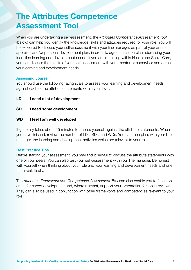## **The Attributes Competence Assessment Tool**

When you are undertaking a self-assessment, the *Attributes Competence Assessment Tool*  (below) can help you identify the knowledge, skills and attitudes required for your role. You will be expected to discuss your self-assessment with your line manager, as part of your annual appraisal and/or personal development plan, in order to agree an action plan addressing your identified learning and development needs. If you are in training within Health and Social Care, you can discuss the results of your self-assessment with your mentor or supervisor and agree your learning and development needs.

#### Assessing yourself

You should use the following rating scale to assess your learning and development needs against each of the attribute statements within your level:

- **LD Lneed a lot of development**
- **I** need some development
- **WD I feel I am well developed**

It generally takes about 15 minutes to assess yourself against the attribute statements. When you have finished, review the number of LDs, SDs, and WDs. You can then plan, with your line manager, the learning and development activities which are relevant to your role.

#### Best Practice Tips

Before starting your assessment, you may find it helpful to discuss the attribute statements with one of your peers. You can also test your self-assessment with your line manager. Be honest with yourself when thinking about your role and your learning and development needs and rate them realistically.

The *Attributes Framework and Competence Assessment Tool* can also enable you to focus on areas for career development and, where relevant, support your preparation for job interviews. They can also be used in conjunction with other frameworks and competencies relevant to your role.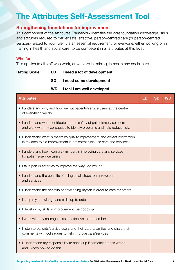## **The Attributes Self-Assessment Tool**

### **Strengthening foundations for improvement**

This component of the Attributes Framework identifies the core foundation knowledge, skills and attitudes required to deliver safe, effective, person-centred care (or person-centred services) related to your role. It is an essential requirement for everyone, either working or in training in health and social care, to be competent in all attributes at this level.

#### Who for:

This applies to all staff who work, or who are in training, in health and social care.

| <b>Rating Scale:</b> | LD.       | I need a lot of development |
|----------------------|-----------|-----------------------------|
|                      | <b>SD</b> | I need some development     |

| WD I feel I am well developed |  |  |
|-------------------------------|--|--|

| <b>Attributes</b>                                                                                                                                     | LD | <b>SD</b> | <b>WD</b> |
|-------------------------------------------------------------------------------------------------------------------------------------------------------|----|-----------|-----------|
| • I understand why and how we put patients/service users at the centre<br>of everything we do                                                         |    |           |           |
| • I understand what contributes to the safety of patients/service users<br>and work with my colleagues to identify problems and help reduce risks     |    |           |           |
| • I understand what is meant by quality improvement and collect information<br>in my area to aid improvement in patient/service use care and services |    |           |           |
| • I understand how I can play my part in improving care and services<br>for patients/service users                                                    |    |           |           |
| • I take part in activities to improve the way I do my job                                                                                            |    |           |           |
| • I understand the benefits of using small steps to improve care<br>and services                                                                      |    |           |           |
| • I understand the benefits of developing myself in order to care for others                                                                          |    |           |           |
| • I keep my knowledge and skills up to date                                                                                                           |    |           |           |
| • I develop my skills in improvement methodology                                                                                                      |    |           |           |
| • I work with my colleagues as an effective team member                                                                                               |    |           |           |
| • I listen to patients/service users and their carers/families and share their<br>comments with colleagues to help improve care/services              |    |           |           |
| • I understand my responsibility to speak up if something goes wrong<br>and I know how to do this                                                     |    |           |           |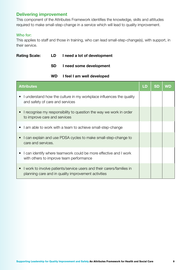### **Delivering improvement**

This component of the Attributes Framework identifies the knowledge, skills and attitudes required to make small-step-change in a service which will lead to quality improvement.

#### Who for:

This applies to staff and those in training, who can lead small-step-change(s), with support, in their service.

| <b>Rating Scale:</b> | LD  | I need a lot of development |
|----------------------|-----|-----------------------------|
|                      | SD. | I need some development     |

#### **WD I feel I am well developed**

| <b>Attributes</b>                                                                                                                         | LD | SD | WD |
|-------------------------------------------------------------------------------------------------------------------------------------------|----|----|----|
| I understand how the culture in my workplace influences the quality<br>$\bullet$<br>and safety of care and services                       |    |    |    |
| I recognise my responsibility to question the way we work in order<br>to improve care and services                                        |    |    |    |
| I am able to work with a team to achieve small-step-change<br>$\bullet$                                                                   |    |    |    |
| I can explain and use PDSA cycles to make small-step-change to<br>$\bullet$<br>care and services.                                         |    |    |    |
| I can identify where teamwork could be more effective and I work<br>$\bullet$<br>with others to improve team performance                  |    |    |    |
| I work to involve patients/service users and their carers/families in<br>$\bullet$<br>planning care and in quality improvement activities |    |    |    |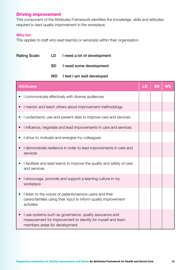## **Driving improvement**

This component of the Attributes Framework identifies the knowledge, skills and attitudes required to lead quality improvement in the workplace.

### Who for:

This applies to staff who lead team(s) or service(s) within their organisation.

| <b>Rating Scale:</b> |                               | LD        | I need a lot of development                                                                                                   |    |           |           |
|----------------------|-------------------------------|-----------|-------------------------------------------------------------------------------------------------------------------------------|----|-----------|-----------|
|                      |                               | <b>SD</b> | I need some development                                                                                                       |    |           |           |
|                      |                               | <b>WD</b> | I feel I am well developed                                                                                                    |    |           |           |
|                      | <b>Attributes</b>             |           |                                                                                                                               | LD | <b>SD</b> | <b>WD</b> |
| $\bullet$            |                               |           | I communicate effectively with diverse audiences                                                                              |    |           |           |
|                      |                               |           | I mentor and teach others about improvement methodology                                                                       |    |           |           |
| $\bullet$            |                               |           | I understand, use and present data to improve care and services                                                               |    |           |           |
| $\bullet$            |                               |           | I influence, negotiate and lead improvements in care and services                                                             |    |           |           |
|                      |                               |           | I strive to motivate and energise my colleagues                                                                               |    |           |           |
|                      | services                      |           | I demonstrate resilience in order to lead improvements in care and                                                            |    |           |           |
|                      | and services                  |           | I facilitate and lead teams to improve the quality and safety of care                                                         |    |           |           |
|                      | workplace                     |           | I encourage, promote and support a learning culture in my                                                                     |    |           |           |
|                      | activities                    |           | I listen to the voices of patients/service users and their<br>carers/families using their input to inform quality improvement |    |           |           |
|                      | members areas for development |           | I use systems such as governance, quality assurance and<br>measurement for improvement to identify for myself and team        |    |           |           |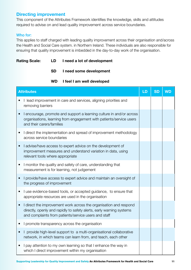### **Directing improvement**

This component of the Attributes Framework identifies the knowledge, skills and attitudes required to advise on and lead quality improvement across service boundaries.

#### Who for:

This applies to staff charged with leading quality improvement across their organisation and/across the Health and Social Care system. in Northern Ireland. These individuals are also responsible for ensuring that quality improvement is imbedded in the day-to-day work of the organisation.

|  | <b>Rating Scale:</b> | LD | I need a lot of development |
|--|----------------------|----|-----------------------------|
|--|----------------------|----|-----------------------------|

**SD I need some development** 

**WD I feel I am well developed** 

|           | <b>Attributes</b>                                                                                                                                                                                 | LD | <b>SD</b> | <b>WD</b> |
|-----------|---------------------------------------------------------------------------------------------------------------------------------------------------------------------------------------------------|----|-----------|-----------|
|           | I lead improvement in care and services, aligning priorities and<br>removing barriers                                                                                                             |    |           |           |
|           | I encourage, promote and support a learning culture in and/or across<br>organisations, learning from engagement with patients/service users<br>and their carers/families                          |    |           |           |
| $\bullet$ | I direct the implementation and spread of improvement methodology<br>across service boundaries                                                                                                    |    |           |           |
| $\bullet$ | I advise/have access to expert advice on the development of<br>improvement measures and understand variation in data, using<br>relevant tools where appropriate                                   |    |           |           |
| $\bullet$ | I monitor the quality and safety of care, understanding that<br>measurement is for learning, not judgement                                                                                        |    |           |           |
|           | I provide/have access to expert advice and maintain an oversight of<br>the progress of improvement                                                                                                |    |           |           |
| $\bullet$ | I use evidence-based tools, or accepted guidance, to ensure that<br>appropriate resources are used in the organisation                                                                            |    |           |           |
| $\bullet$ | I direct the improvement work across the organisation and respond<br>directly, openly and rapidly to safety alerts, early warning systems<br>and complaints from patients/service users and staff |    |           |           |
| $\bullet$ | I promote transparency across the organisation                                                                                                                                                    |    |           |           |
|           | provide high-level support to a multi-organisational collaborative<br>network, in which teams can learn from, and teach, each other                                                               |    |           |           |
|           | I pay attention to my own learning so that I enhance the way in<br>which I direct improvement within my organisation                                                                              |    |           |           |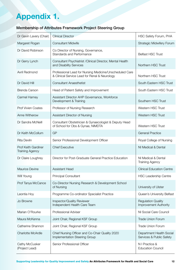## **Appendix 1.**

## Membership of Attributes Framework Project Steering Group

| Dr Gavin Lavery (Chair)                              | <b>Clinical Director</b>                                                                                 | <b>HSC Safety Forum, PHA</b>                         |
|------------------------------------------------------|----------------------------------------------------------------------------------------------------------|------------------------------------------------------|
| Margaret Rogan                                       | <b>Consultant Midwife</b>                                                                                | <b>Strategic Midwifery Forum</b>                     |
| Dr David Robinson                                    | Co Director of Nursing, Governance,<br>Standards and Performance                                         | <b>Belfast HSC Trust</b>                             |
| Dr Gerry Lynch                                       | Consultant Psychiatrist / Clinical Director, Mental Health<br>and Disability Services                    | Northern HSC Trust                                   |
| Avril Redmond                                        | Professional Lead for Nursing Medicine/Unscheduled Care<br>& Clinical Service Lead for Renal & Neurology | Northern HSC Trust                                   |
| Dr David Hill                                        | <b>Consultant Anaesthetist</b>                                                                           | South Eastern HSC Trust                              |
| <b>Brenda Carson</b>                                 | Head of Patient Safety and Improvement                                                                   | South Eastern HSC Trust                              |
| <b>Carmel Harney</b>                                 | Assistant Director AHP Governance, Workforce<br>Development & Training                                   | Southern HSC Trust                                   |
| <b>Prof Vivien Coates</b>                            | Professor of Nursing Research                                                                            | Western HSC Trust                                    |
| Anne Witherow                                        | Assistant Director of Nursing                                                                            | <b>Western HSC Trust</b>                             |
| Dr Sandra McNeill                                    | Consultant Obstetrician & Gynaecologist & Deputy Head<br>of School for Obs & Gynae, NIMDTA               | Western HSC Trust                                    |
| Dr Keith McCollum                                    | GP                                                                                                       | <b>General Practice</b>                              |
| <b>Rita Devlin</b>                                   | Senior Professional Development Officer                                                                  | Royal College of Nursing                             |
| <b>Prof Keith Gardiner</b><br><b>Training Agency</b> | <b>Chief Executive</b>                                                                                   | NI Medical & Dental                                  |
| Dr Claire Loughrey                                   | Director for Post-Graduate General Practice Education                                                    | NI Medical & Dental<br><b>Training Agency</b>        |
| <b>Maurice Devine</b>                                | <b>Assistant Head</b>                                                                                    | <b>Clinical Education Centre</b>                     |
| Will Young                                           | <b>Principal Consultant</b>                                                                              | <b>HSC Leadership Centre</b>                         |
| Prof Tanya McCance                                   | Co-Director Nursing Research & Development School<br>of Nursing                                          | University of Ulster                                 |
| Leontia Hoy                                          | Programme Co-ordinator Specialist Practice                                                               | Queen's University Belfast                           |
| Jo Browne                                            | Inspector/Quality Reviewer<br>Independent Health Care Team                                               | <b>Regulation Quality</b><br>Improvement Authority   |
| Marian O'Rourke                                      | Professional Adviser                                                                                     | NI Social Care Council                               |
| Maura McKenna                                        | Joint Chair, Regional KSF Group                                                                          | <b>Trade Union Forum</b>                             |
| Catherine Shannon                                    | Joint Chair, Regional KSF Group                                                                          | <b>Trade Union Forum</b>                             |
| <b>Charlotte McArdle</b>                             | Chief Nursing Officer and Co-Chair Quality 2020<br>Implementation Steering Group                         | Department Health Social<br>Services & Public Safety |
| Cathy McCusker<br>(Project Lead)                     | Senior Professional Officer                                                                              | N I Practice &<br><b>Education Council</b>           |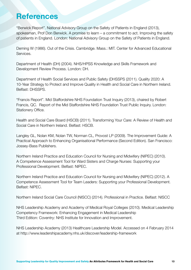## **References**

"Berwick Report". National Advisory Group on the Safety of Patients in England (2013), spokesman, Prof Don Berwick. A promise to learn – a commitment to act. Improving the safety of patients in England. London: National Advisory Group on the Safety of Patients in England.

Deming W (1986). Out of the Crisis. Cambridge. Mass.: MIT. Center for Advanced Educational Services.

Department of Health (DH) (2004). NHS/HPSS Knowledge and Skills Framework and Development Review Process. London: DH.

Department of Health Social Services and Public Safety (DHSSPS (2011). Quality 2020: A 10-Year Strategy to Protect and Improve Quality in Health and Social Care in Northern Ireland. Belfast: DHSSPS.

"Francis Report". Mid Staffordshire NHS Foundation Trust Inquiry (2013), chaired by Robert Francis, QC. Report of the Mid Staffordshire NHS Foundation Trust Public Inquiry. London: Stationery Office.

Health and Social Care Board (HSCB) (2011). Transforming Your Care: A Review of Health and Social Care in Northern Ireland. Belfast: HSCB.

Langley GL, Nolan KM, Nolan TW, Norman CL, Provost LP (2009). The Improvement Guide: A Practical Approach to Enhancing Organisational Performance (Second Edition). San Francisco: Jossey-Bass Publishers.

Northern Ireland Practice and Education Council for Nursing and Midwifery (NIPEC) (2010). A Competence Assessment Tool for Ward Sisters and Charge Nurses: Supporting your Professional Development. Belfast: NIPEC.

Northern Ireland Practice and Education Council for Nursing and Midwifery (NIPEC) (2012). A Competence Assessment Tool for Team Leaders: Supporting your Professional Development. Belfast: NIPEC.

Northern Ireland Social Care Council (NISCC) (2014). Professional in Practice. Belfast: NISCC

NHS Leadership Academy and Academy of Medical Royal Colleges (2010). Medical Leadership Competency Framework: Enhancing Engagement in Medical Leadership Third Edition: Coventry: NHS Institute for Innovation and Improvement.

NHS Leadership Academy (2013) Healthcare Leadership Model. Accessed on 4 February 2014 at http://www.leadershipacademy.nhs.uk/discover/leadership-framework